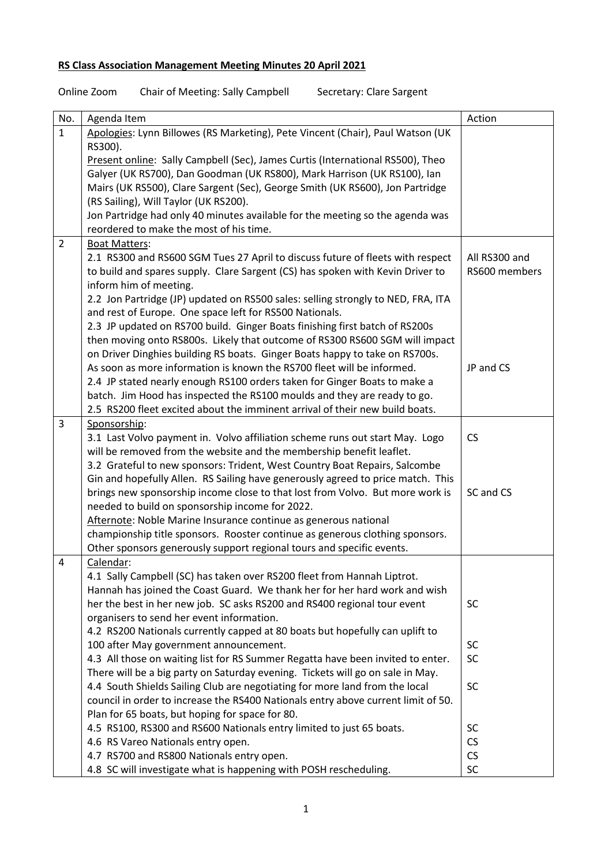## **RS Class Association Management Meeting Minutes 20 April 2021**

| Online Zoom | Chair of Meeting: Sally Campbell | Secretary: Clare Sargent |
|-------------|----------------------------------|--------------------------|
|             |                                  |                          |

| No.            | Agenda Item                                                                                                | Action                 |
|----------------|------------------------------------------------------------------------------------------------------------|------------------------|
| $\mathbf{1}$   | Apologies: Lynn Billowes (RS Marketing), Pete Vincent (Chair), Paul Watson (UK<br>RS300).                  |                        |
|                | Present online: Sally Campbell (Sec), James Curtis (International RS500), Theo                             |                        |
|                | Galyer (UK RS700), Dan Goodman (UK RS800), Mark Harrison (UK RS100), lan                                   |                        |
|                | Mairs (UK RS500), Clare Sargent (Sec), George Smith (UK RS600), Jon Partridge                              |                        |
|                | (RS Sailing), Will Taylor (UK RS200).                                                                      |                        |
|                | Jon Partridge had only 40 minutes available for the meeting so the agenda was                              |                        |
|                | reordered to make the most of his time.                                                                    |                        |
| $\overline{2}$ | <b>Boat Matters:</b>                                                                                       |                        |
|                | 2.1 RS300 and RS600 SGM Tues 27 April to discuss future of fleets with respect                             | All RS300 and          |
|                | to build and spares supply. Clare Sargent (CS) has spoken with Kevin Driver to                             | RS600 members          |
|                | inform him of meeting.                                                                                     |                        |
|                | 2.2 Jon Partridge (JP) updated on RS500 sales: selling strongly to NED, FRA, ITA                           |                        |
|                | and rest of Europe. One space left for RS500 Nationals.                                                    |                        |
|                | 2.3 JP updated on RS700 build. Ginger Boats finishing first batch of RS200s                                |                        |
|                | then moving onto RS800s. Likely that outcome of RS300 RS600 SGM will impact                                |                        |
|                | on Driver Dinghies building RS boats. Ginger Boats happy to take on RS700s.                                |                        |
|                | As soon as more information is known the RS700 fleet will be informed.                                     | JP and CS              |
|                | 2.4 JP stated nearly enough RS100 orders taken for Ginger Boats to make a                                  |                        |
|                | batch. Jim Hood has inspected the RS100 moulds and they are ready to go.                                   |                        |
|                | 2.5 RS200 fleet excited about the imminent arrival of their new build boats.                               |                        |
| 3              | Sponsorship:                                                                                               |                        |
|                | 3.1 Last Volvo payment in. Volvo affiliation scheme runs out start May. Logo                               | <b>CS</b>              |
|                | will be removed from the website and the membership benefit leaflet.                                       |                        |
|                | 3.2 Grateful to new sponsors: Trident, West Country Boat Repairs, Salcombe                                 |                        |
|                | Gin and hopefully Allen. RS Sailing have generously agreed to price match. This                            |                        |
|                | brings new sponsorship income close to that lost from Volvo. But more work is                              | SC and CS              |
|                | needed to build on sponsorship income for 2022.                                                            |                        |
|                | Afternote: Noble Marine Insurance continue as generous national                                            |                        |
|                | championship title sponsors. Rooster continue as generous clothing sponsors.                               |                        |
|                | Other sponsors generously support regional tours and specific events.                                      |                        |
| 4              | Calendar:                                                                                                  |                        |
|                | 4.1 Sally Campbell (SC) has taken over RS200 fleet from Hannah Liptrot.                                    |                        |
|                | Hannah has joined the Coast Guard. We thank her for her hard work and wish                                 |                        |
|                | her the best in her new job. SC asks RS200 and RS400 regional tour event                                   | <b>SC</b>              |
|                | organisers to send her event information.                                                                  |                        |
|                | 4.2 RS200 Nationals currently capped at 80 boats but hopefully can uplift to                               |                        |
|                | 100 after May government announcement.                                                                     | SC                     |
|                | 4.3 All those on waiting list for RS Summer Regatta have been invited to enter.                            | SC                     |
|                | There will be a big party on Saturday evening. Tickets will go on sale in May.                             | <b>SC</b>              |
|                | 4.4 South Shields Sailing Club are negotiating for more land from the local                                |                        |
|                | council in order to increase the RS400 Nationals entry above current limit of 50.                          |                        |
|                | Plan for 65 boats, but hoping for space for 80.                                                            |                        |
|                | 4.5 RS100, RS300 and RS600 Nationals entry limited to just 65 boats.<br>4.6 RS Vareo Nationals entry open. | <b>SC</b><br><b>CS</b> |
|                | 4.7 RS700 and RS800 Nationals entry open.                                                                  | <b>CS</b>              |
|                | 4.8 SC will investigate what is happening with POSH rescheduling.                                          | SC                     |
|                |                                                                                                            |                        |